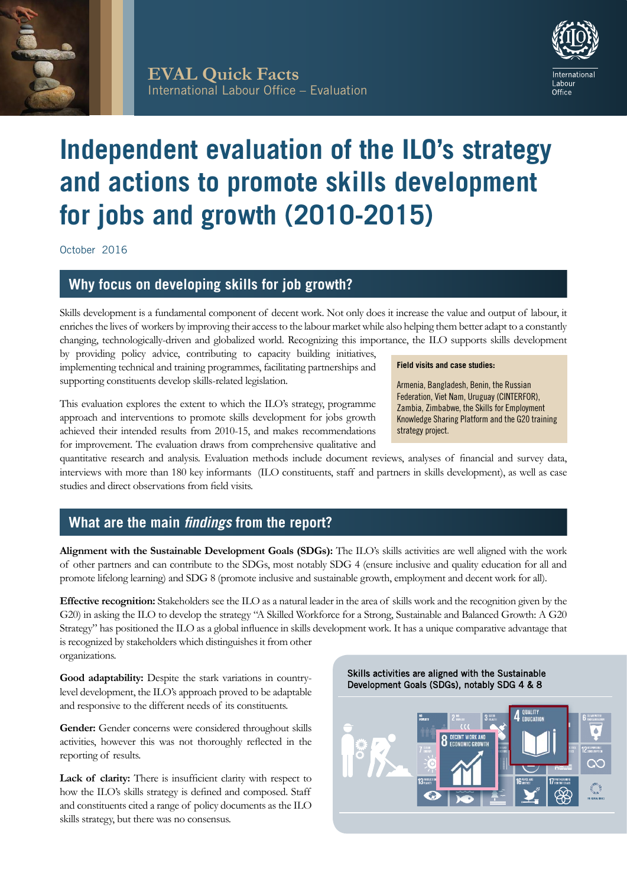



# **Independent evaluation of the ILO's strategy and actions to promote skills development for jobs and growth (2010-2015)**

October 2016

# **Why focus on developing skills for job growth?**

Skills development is a fundamental component of decent work. Not only does it increase the value and output of labour, it enriches the lives of workers by improving their access to the labour market while also helping them better adapt to a constantly changing, technologically-driven and globalized world. Recognizing this importance, the ILO supports skills development

by providing policy advice, contributing to capacity building initiatives, implementing technical and training programmes, facilitating partnerships and supporting constituents develop skills-related legislation.

### This evaluation explores the extent to which the ILO's strategy, programme approach and interventions to promote skills development for jobs growth achieved their intended results from 2010-15, and makes recommendations for improvement. The evaluation draws from comprehensive qualitative and

quantitative research and analysis. Evaluation methods include document reviews, analyses of financial and survey data, interviews with more than 180 key informants (ILO constituents, staff and partners in skills development), as well as case studies and direct observations from field visits.

# **What are the main** *findings* **from the report?**

**Alignment with the Sustainable Development Goals (SDGs):** The ILO's skills activities are well aligned with the work of other partners and can contribute to the SDGs, most notably SDG 4 (ensure inclusive and quality education for all and promote lifelong learning) and SDG 8 (promote inclusive and sustainable growth, employment and decent work for all).

**Effective recognition:** Stakeholders see the ILO as a natural leader in the area of skills work and the recognition given by the G20) in asking the ILO to develop the strategy "A Skilled Workforce for a Strong, Sustainable and Balanced Growth: A G20 Strategy" has positioned the ILO as a global influence in skills development work. It has a unique comparative advantage that is recognized by stakeholders which distinguishes it from other organizations.

Good adaptability: Despite the stark variations in countrylevel development, the ILO's approach proved to be adaptable and responsive to the different needs of its constituents.

Gender: Gender concerns were considered throughout skills activities, however this was not thoroughly reflected in the reporting of results.

Lack of clarity: There is insufficient clarity with respect to how the ILO's skills strategy is defined and composed. Staff and constituents cited a range of policy documents as the ILO skills strategy, but there was no consensus.

#### Skills activities are aligned with the Sustainable Development Goals (SDGs), notably SDG 4 & 8



**Field visits and case studies:** 

Armenia, Bangladesh, Benin, the Russian Federation, Viet Nam, Uruguay (CINTERFOR), Zambia, Zimbabwe, the Skills for Employment Knowledge Sharing Platform and the G20 training strategy project.